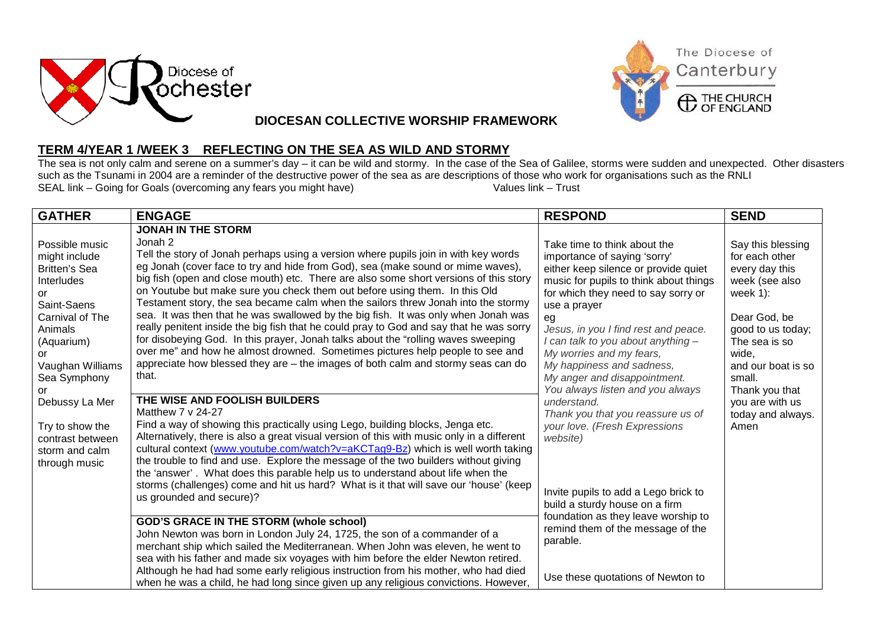



## **DIOCESAN COLLECTIVE WORSHIP FRAMEWORK**

## **TERM 4/YEAR 1 /WEEK 3 REFLECTING ON THE SEA AS WILD AND STORMY**

The sea is not only calm and serene on a summer's day – it can be wild and stormy. In the case of the Sea of Galilee, storms were sudden and unexpected. Other disasters such as the Tsunami in 2004 are a reminder of the destructive power of the sea as are descriptions of those who work for organisations such as the RNLI<br>SEAL link – Going for Goals (overcoming any fears you might have)<br>Valu SEAL link – Going for Goals (overcoming any fears you might have)